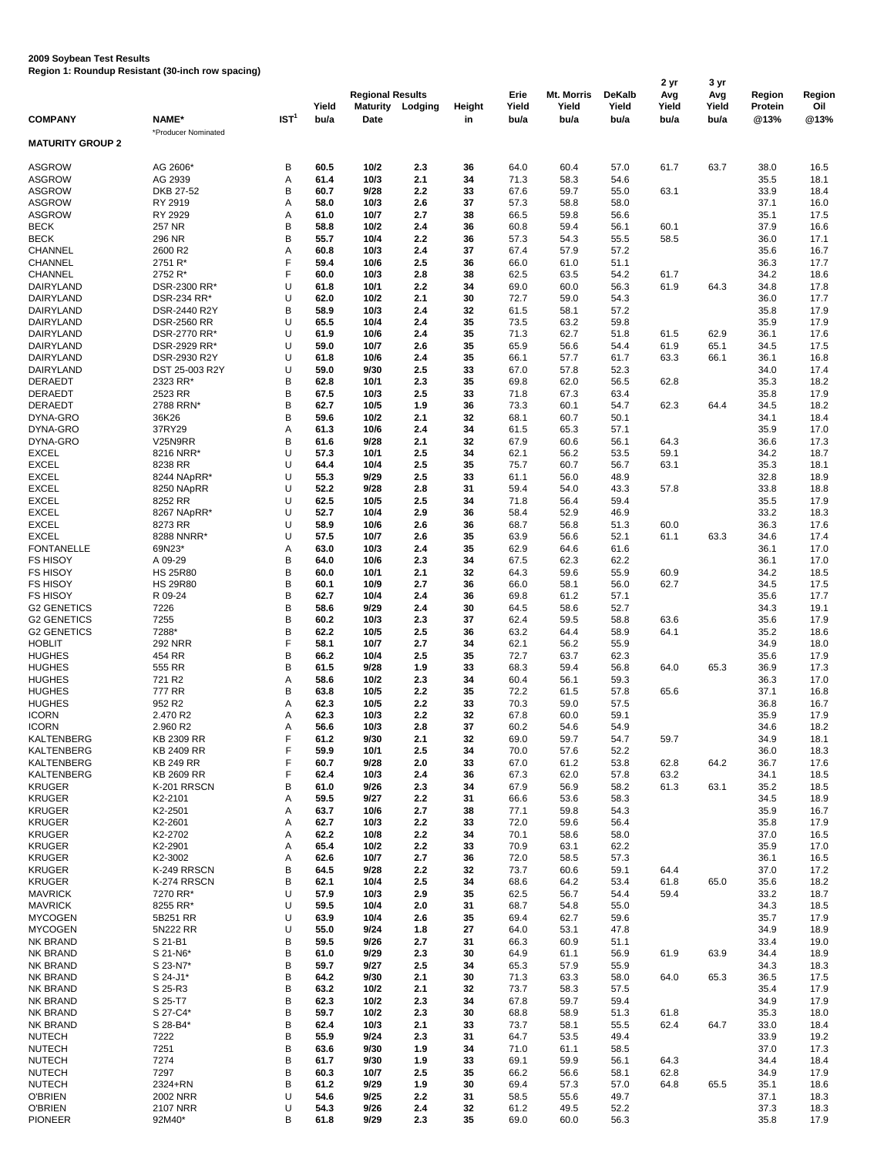## **2009 Soybean Test Results**

**Region 1: Roundup Resistant (30-inch row spacing)**

|                              |                           |                  |              |                         |         |               |       |            |               | 2 yr  | 3 yr<br>Avg | <b>Region</b>  | Region       |
|------------------------------|---------------------------|------------------|--------------|-------------------------|---------|---------------|-------|------------|---------------|-------|-------------|----------------|--------------|
|                              |                           |                  |              | <b>Regional Results</b> |         |               | Erie  | Mt. Morris | <b>DeKalb</b> | Avg   |             |                |              |
|                              |                           |                  | Yield        | <b>Maturity</b>         | Lodging | <b>Height</b> | Yield | Yield      | Yield         | Yield | Yield       | <b>Protein</b> | Oil          |
| <b>COMPANY</b>               | NAME*                     | IST <sup>1</sup> | bu/a         | <b>Date</b>             |         | in            | bu/a  | bu/a       | bu/a          | bu/a  | bu/a        | @13%           | @13%         |
| <b>MATURITY GROUP 2</b>      | *Producer Nominated       |                  |              |                         |         |               |       |            |               |       |             |                |              |
|                              |                           |                  |              |                         |         |               |       |            |               |       |             |                |              |
| <b>ASGROW</b>                | AG 2606*                  | B                | 60.5         | $10/2$                  | 2.3     | 36            | 64.0  | 60.4       | 57.0          | 61.7  | 63.7        | 38.0           | 16.5         |
| <b>ASGROW</b>                | AG 2939                   | А                | 61.4         | 10/3                    | 2.1     | 34            | 71.3  | 58.3       | 54.6          |       |             | 35.5           | 18.1         |
| <b>ASGROW</b>                | DKB 27-52                 | B                | 60.7         | 9/28                    | 2.2     | 33            | 67.6  | 59.7       | 55.0          | 63.1  |             | 33.9           | 18.4         |
| <b>ASGROW</b>                | RY 2919                   | А                | 58.0         | 10/3                    | 2.6     | 37            | 57.3  | 58.8       | 58.0          |       |             | 37.1           | 16.0         |
| <b>ASGROW</b>                | RY 2929                   | А                | 61.0         | 10/7                    | 2.7     | 38            | 66.5  | 59.8       | 56.6          |       |             | 35.1           | 17.5         |
| <b>BECK</b>                  | 257 NR                    | $\sf B$          | 58.8         | $10/2$                  | 2.4     | 36            | 60.8  | 59.4       | 56.1          | 60.1  |             | 37.9           | 16.6         |
| <b>BECK</b>                  | 296 NR                    | B                | 55.7         | 10/4                    | 2.2     | 36            | 57.3  | 54.3       | 55.5          | 58.5  |             | 36.0           | 17.1         |
| <b>CHANNEL</b>               | 2600 R2                   | A                | 60.8         | 10/3                    | 2.4     | 37            | 67.4  | 57.9       | 57.2          |       |             | 35.6           | 16.7         |
| <b>CHANNEL</b>               | 2751 R*                   | F                | 59.4         | 10/6                    | 2.5     | 36            | 66.0  | 61.0       | 51.1          |       |             | 36.3           | 17.7         |
| <b>CHANNEL</b>               | 2752 R*                   | F                | 60.0         | 10/3                    | 2.8     | 38            | 62.5  | 63.5       | 54.2          | 61.7  |             | 34.2           | 18.6         |
| <b>DAIRYLAND</b>             | DSR-2300 RR*              | U                | 61.8         | 10/1                    | 2.2     | 34            | 69.0  | 60.0       | 56.3          | 61.9  | 64.3        | 34.8           | 17.8         |
| <b>DAIRYLAND</b>             | DSR-234 RR*               | U                | 62.0         | $10/2$                  | 2.1     | 30            | 72.7  | 59.0       | 54.3          |       |             | 36.0           | 17.7         |
| <b>DAIRYLAND</b>             | DSR-2440 R2Y              | $\sf B$          | 58.9         | 10/3                    | 2.4     | 32            | 61.5  | 58.1       | 57.2          |       |             | 35.8           | 17.9         |
| <b>DAIRYLAND</b>             | <b>DSR-2560 RR</b>        | U                | 65.5         | 10/4                    | 2.4     | 35            | 73.5  | 63.2       | 59.8          |       |             | 35.9           | 17.9         |
| <b>DAIRYLAND</b>             | DSR-2770 RR*              | U                | 61.9         | 10/6                    | 2.4     | 35            | 71.3  | 62.7       | 51.8          | 61.5  | 62.9        | 36.1           | 17.6         |
| <b>DAIRYLAND</b>             | DSR-2929 RR*              | U                | 59.0         | 10/7                    | 2.6     | 35            | 65.9  | 56.6       | 54.4          | 61.9  | 65.1        | 34.5           | 17.5         |
| <b>DAIRYLAND</b>             | DSR-2930 R2Y              | U                | 61.8         | 10/6                    | 2.4     | 35            | 66.1  | 57.7       | 61.7          | 63.3  | 66.1        | 36.1           | 16.8         |
| <b>DAIRYLAND</b>             | DST 25-003 R2Y            | U                | 59.0         | 9/30                    | 2.5     | 33            | 67.0  | 57.8       | 52.3          |       |             | 34.0           | 17.4         |
| <b>DERAEDT</b>               | 2323 RR*                  | B                | 62.8         | 10/1                    | 2.3     | 35            | 69.8  | 62.0       | 56.5          | 62.8  |             | 35.3           | 18.2         |
| <b>DERAEDT</b>               | 2523 RR                   | $\sf B$          | 67.5         | 10/3                    | 2.5     | 33            | 71.8  | 67.3       | 63.4          |       |             | 35.8           | 17.9         |
| <b>DERAEDT</b>               | 2788 RRN*                 | B                | 62.7         | 10/5                    | 1.9     | 36            | 73.3  | 60.1       | 54.7          | 62.3  | 64.4        | 34.5           | 18.2         |
| DYNA-GRO                     | 36K26                     | $\sf B$          | 59.6         | $10/2$                  | 2.1     | 32            | 68.1  | 60.7       | 50.1          |       |             | 34.1           | 18.4         |
| DYNA-GRO                     | 37RY29                    | A                | 61.3         | 10/6                    | 2.4     | 34            | 61.5  | 65.3       | 57.1          |       |             | 35.9           | 17.0         |
| DYNA-GRO                     | V25N9RR                   | $\sf B$          | 61.6         | 9/28                    | 2.1     | 32            | 67.9  | 60.6       | 56.1          | 64.3  |             | 36.6           | 17.3         |
| <b>EXCEL</b>                 | 8216 NRR*                 | U                | 57.3         | 10/1                    | 2.5     | 34            | 62.1  | 56.2       | 53.5          | 59.1  |             | 34.2           | 18.7         |
| <b>EXCEL</b>                 | 8238 RR                   | U                | 64.4         | 10/4                    | 2.5     | 35            | 75.7  | 60.7       | 56.7          | 63.1  |             | 35.3           | 18.1         |
| <b>EXCEL</b>                 |                           |                  | 55.3         | 9/29                    | 2.5     | 33            | 61.1  | 56.0       | 48.9          |       |             | 32.8           |              |
| <b>EXCEL</b>                 | 8244 NApRR*<br>8250 NApRR | U<br>U           | 52.2         | 9/28                    | 2.8     | 31            | 59.4  | 54.0       | 43.3          | 57.8  |             | 33.8           | 18.9<br>18.8 |
|                              |                           | U                |              |                         |         |               |       |            |               |       |             |                |              |
| <b>EXCEL</b><br><b>EXCEL</b> | 8252 RR<br>8267 NApRR*    |                  | 62.5<br>52.7 | 10/5<br>10/4            | 2.5     | 34            | 71.8  | 56.4       | 59.4          |       |             | 35.5           | 17.9         |
|                              |                           | U                |              |                         | 2.9     | 36            | 58.4  | 52.9       | 46.9          |       |             | 33.2           | 18.3         |
| <b>EXCEL</b>                 | 8273 RR                   | U                | 58.9         | 10/6                    | 2.6     | 36            | 68.7  | 56.8       | 51.3          | 60.0  |             | 36.3           | 17.6         |
| <b>EXCEL</b>                 | 8288 NNRR*                | U                | 57.5         | 10/7                    | 2.6     | 35            | 63.9  | 56.6       | 52.1          | 61.1  | 63.3        | 34.6           | 17.4         |
| <b>FONTANELLE</b>            | 69N23*                    | Α                | 63.0         | 10/3                    | 2.4     | 35            | 62.9  | 64.6       | 61.6          |       |             | 36.1           | 17.0         |
| <b>FS HISOY</b>              | A 09-29                   | B                | 64.0         | 10/6                    | 2.3     | 34            | 67.5  | 62.3       | 62.2          |       |             | 36.1           | 17.0         |
| <b>FS HISOY</b>              | <b>HS 25R80</b>           | B                | 60.0         | 10/1                    | 2.1     | 32            | 64.3  | 59.6       | 55.9          | 60.9  |             | 34.2           | 18.5         |
| <b>FS HISOY</b>              | <b>HS 29R80</b>           | B                | 60.1         | 10/9                    | 2.7     | 36            | 66.0  | 58.1       | 56.0          | 62.7  |             | 34.5           | 17.5         |
| <b>FS HISOY</b>              | R 09-24                   | B                | 62.7         | 10/4                    | 2.4     | 36            | 69.8  | 61.2       | 57.1          |       |             | 35.6           | 17.7         |
| <b>G2 GENETICS</b>           | 7226                      | B                | 58.6         | 9/29                    | 2.4     | 30            | 64.5  | 58.6       | 52.7          |       |             | 34.3           | 19.1         |
| <b>G2 GENETICS</b>           | 7255                      | B                | 60.2         | 10/3                    | 2.3     | 37            | 62.4  | 59.5       | 58.8          | 63.6  |             | 35.6           | 17.9         |
| <b>G2 GENETICS</b>           | 7288*                     | B                | 62.2         | 10/5                    | 2.5     | 36            | 63.2  | 64.4       | 58.9          | 64.1  |             | 35.2           | 18.6         |
| <b>HOBLIT</b>                | <b>292 NRR</b>            | F                | 58.1         | 10/7                    | 2.7     | 34            | 62.1  | 56.2       | 55.9          |       |             | 34.9           | 18.0         |
| <b>HUGHES</b>                | 454 RR                    | B                | 66.2         | 10/4                    | 2.5     | 35            | 72.7  | 63.7       | 62.3          |       |             | 35.6           | 17.9         |
| <b>HUGHES</b>                | 555 RR                    | B                | 61.5         | 9/28                    | 1.9     | 33            | 68.3  | 59.4       | 56.8          | 64.0  | 65.3        | 36.9           | 17.3         |
| <b>HUGHES</b>                | 721 R2                    | A                | 58.6         | $10/2$                  | 2.3     | 34            | 60.4  | 56.1       | 59.3          |       |             | 36.3           | 17.0         |
| <b>HUGHES</b>                | 777 RR                    | B                | 63.8         | 10/5                    | 2.2     | 35            | 72.2  | 61.5       | 57.8          | 65.6  |             | 37.1           | 16.8         |
| <b>HUGHES</b>                | 952 R2                    | Α                | 62.3         | 10/5                    | 2.2     | 33            | 70.3  | 59.0       | 57.5          |       |             | 36.8           | 16.7         |
| <b>ICORN</b>                 | 2.470 R2                  | Α                | 62.3         | 10/3                    | 2.2     | 32            | 67.8  | 60.0       | 59.1          |       |             | 35.9           | 17.9         |
| <b>ICORN</b>                 | 2.960 R2                  | А                | 56.6         | 10/3                    | 2.8     | 37            | 60.2  | 54.6       | 54.9          |       |             | 34.6           | 18.2         |
| <b>KALTENBERG</b>            | KB 2309 RR                | F                | 61.2         | 9/30                    | 2.1     | 32            | 69.0  | 59.7       | 54.7          | 59.7  |             | 34.9           | 18.1         |
| <b>KALTENBERG</b>            | <b>KB 2409 RR</b>         | F                | 59.9         | 10/1                    | 2.5     | 34            | 70.0  | 57.6       | 52.2          |       |             | 36.0           | 18.3         |
| <b>KALTENBERG</b>            | <b>KB 249 RR</b>          | F                | 60.7         | 9/28                    | 2.0     | 33            | 67.0  | 61.2       | 53.8          | 62.8  | 64.2        | 36.7           | 17.6         |
| <b>KALTENBERG</b>            | KB 2609 RR                | F                | 62.4         | 10/3                    | 2.4     | 36            | 67.3  | 62.0       | 57.8          | 63.2  |             | 34.1           | 18.5         |
| <b>KRUGER</b>                | K-201 RRSCN               | B                | 61.0         | 9/26                    | 2.3     | 34            | 67.9  | 56.9       | 58.2          | 61.3  | 63.1        | 35.2           | 18.5         |
| <b>KRUGER</b>                | K2-2101                   | А                | 59.5         | 9/27                    | 2.2     | 31            | 66.6  | 53.6       | 58.3          |       |             | 34.5           | 18.9         |
| <b>KRUGER</b>                | K2-2501                   | Α                | 63.7         | 10/6                    | 2.7     | 38            | 77.1  | 59.8       | 54.3          |       |             | 35.9           | 16.7         |
| <b>KRUGER</b>                | K2-2601                   | Α                | 62.7         | 10/3                    | 2.2     | 33            | 72.0  | 59.6       | 56.4          |       |             | 35.8           | 17.9         |
| <b>KRUGER</b>                | K2-2702                   | Α                | 62.2         | 10/8                    | 2.2     | 34            | 70.1  | 58.6       | 58.0          |       |             | 37.0           | 16.5         |
| <b>KRUGER</b>                | K2-2901                   | Α                | 65.4         | $10/2$                  | 2.2     | 33            | 70.9  | 63.1       | 62.2          |       |             | 35.9           | 17.0         |
| <b>KRUGER</b>                | K2-3002                   | Α                | 62.6         | 10/7                    | 2.7     | 36            | 72.0  | 58.5       | 57.3          |       |             | 36.1           | 16.5         |
| <b>KRUGER</b>                | K-249 RRSCN               | B                | 64.5         | 9/28                    | 2.2     | 32            | 73.7  | 60.6       | 59.1          | 64.4  |             | 37.0           | 17.2         |
| <b>KRUGER</b>                | K-274 RRSCN               | B                | 62.1         | 10/4                    | 2.5     | 34            | 68.6  | 64.2       | 53.4          | 61.8  | 65.0        | 35.6           | 18.2         |
| <b>MAVRICK</b>               | 7270 RR*                  | U                | 57.9         | 10/3                    | 2.9     | 35            | 62.5  | 56.7       | 54.4          | 59.4  |             | 33.2           | 18.7         |
| <b>MAVRICK</b>               | 8255 RR*                  | U                | 59.5         | 10/4                    | 2.0     | 31            | 68.7  | 54.8       | 55.0          |       |             | 34.3           | 18.5         |
| <b>MYCOGEN</b>               | 5B251 RR                  | U                | 63.9         | 10/4                    | 2.6     | 35            | 69.4  | 62.7       | 59.6          |       |             | 35.7           | 17.9         |
| <b>MYCOGEN</b>               | 5N222 RR                  | U                | 55.0         | 9/24                    | 1.8     | 27            | 64.0  | 53.1       | 47.8          |       |             | 34.9           | 18.9         |
| NK BRAND                     | S 21-B1                   | B                | 59.5         | 9/26                    | 2.7     | 31            | 66.3  | 60.9       | 51.1          |       |             | 33.4           | 19.0         |
| NK BRAND                     | S 21-N6*                  | B                | 61.0         | 9/29                    | 2.3     | 30            | 64.9  | 61.1       | 56.9          | 61.9  | 63.9        | 34.4           | 18.9         |
| NK BRAND                     | S 23-N7*                  | B                | 59.7         | 9/27                    | 2.5     | 34            | 65.3  | 57.9       | 55.9          |       |             | 34.3           | 18.3         |
| NK BRAND                     | S 24-J1*                  | B                | 64.2         | 9/30                    | 2.1     | 30            | 71.3  | 63.3       | 58.0          | 64.0  | 65.3        | 36.5           | 17.5         |
| NK BRAND                     | S 25-R3                   | B                | 63.2         | $10/2$                  | 2.1     | 32            | 73.7  | 58.3       | 57.5          |       |             | 35.4           | 17.9         |
| NK BRAND                     | S 25-T7                   | B                | 62.3         | $10/2$                  | 2.3     | 34            | 67.8  | 59.7       | 59.4          |       |             | 34.9           | 17.9         |
| NK BRAND                     | S 27-C4*                  | B                | 59.7         | $10/2$                  | 2.3     | 30            | 68.8  | 58.9       | 51.3          | 61.8  |             | 35.3           | 18.0         |
| NK BRAND                     | S 28-B4*                  | B                | 62.4         | 10/3                    | 2.1     | 33            | 73.7  | 58.1       | 55.5          | 62.4  | 64.7        | 33.0           | 18.4         |
| <b>NUTECH</b>                | 7222                      | B                | 55.9         | 9/24                    | 2.3     | 31            | 64.7  | 53.5       | 49.4          |       |             | 33.9           | 19.2         |
| <b>NUTECH</b>                | 7251                      | B                | 63.6         | 9/30                    | 1.9     | 34            | 71.0  | 61.1       | 58.5          |       |             | 37.0           | 17.3         |
| <b>NUTECH</b>                | 7274                      | B                | 61.7         | 9/30                    | 1.9     | 33            | 69.1  | 59.9       | 56.1          | 64.3  |             | 34.4           | 18.4         |
| <b>NUTECH</b>                | 7297                      | B                | 60.3         | 10/7                    | 2.5     | 35            | 66.2  | 56.6       | 58.1          | 62.8  |             | 34.9           | 17.9         |
| <b>NUTECH</b>                | 2324+RN                   | B                | 61.2         | 9/29                    | 1.9     | 30            | 69.4  | 57.3       | 57.0          | 64.8  | 65.5        | 35.1           | 18.6         |
| <b>O'BRIEN</b>               | <b>2002 NRR</b>           | U                | 54.6         | 9/25                    | 2.2     | 31            | 58.5  | 55.6       | 49.7          |       |             | 37.1           | 18.3         |
| <b>O'BRIEN</b>               | <b>2107 NRR</b>           | U                | 54.3         | 9/26                    | 2.4     | 32            | 61.2  | 49.5       | 52.2          |       |             | 37.3           | 18.3         |
| <b>PIONEER</b>               | 92M40*                    | B                | 61.8         | 9/29                    | 2.3     | 35            | 69.0  | 60.0       | 56.3          |       |             | 35.8           | 17.9         |